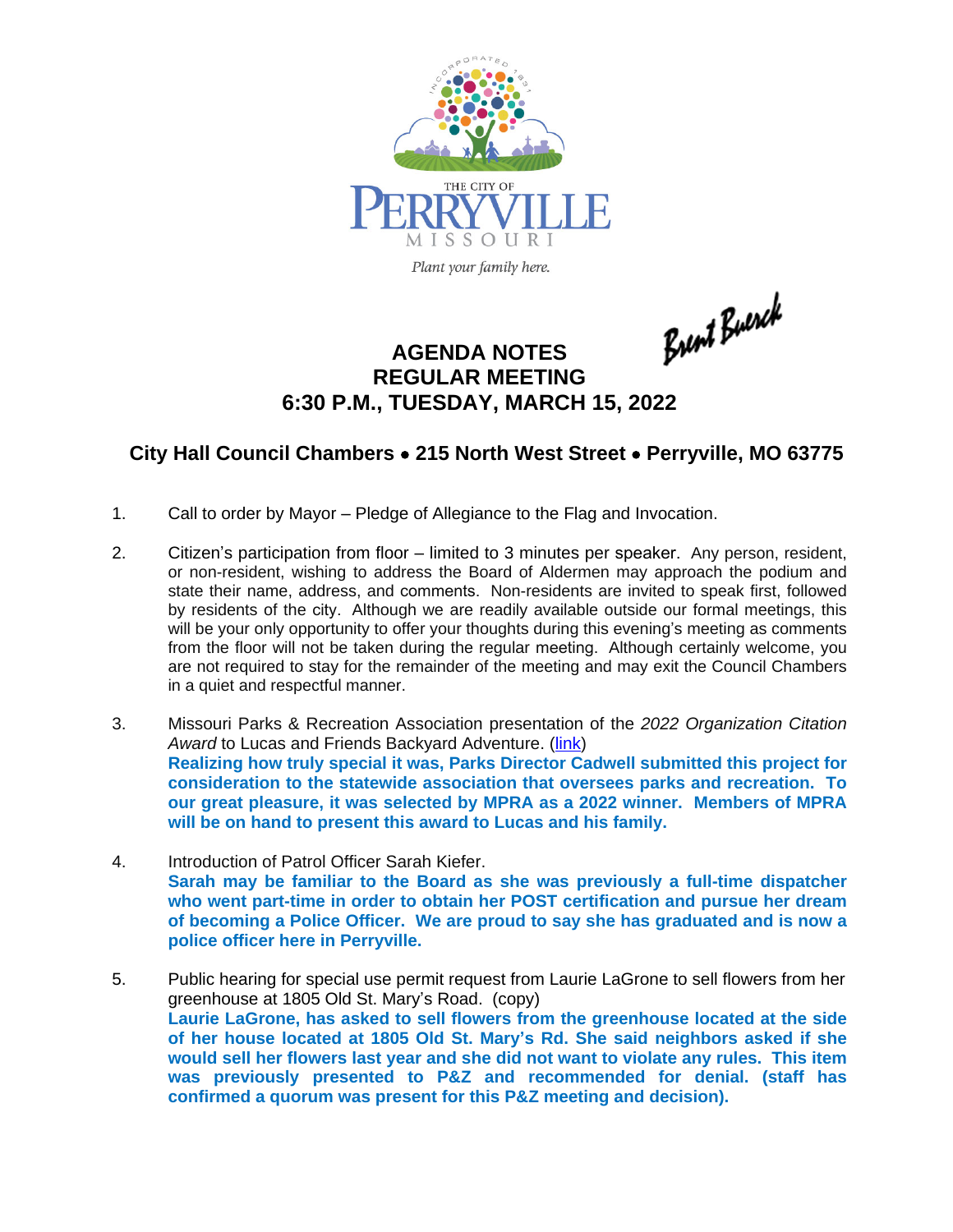

Plant your family here.

Brent Buerch

# **AGENDA NOTES REGULAR MEETING 6:30 P.M., TUESDAY, MARCH 15, 2022**

## **City Hall Council Chambers** · **215 North West Street** · **Perryville, MO 63775**

- 1. Call to order by Mayor Pledge of Allegiance to the Flag and Invocation.
- 2. Citizen's participation from floor limited to 3 minutes per speaker. Any person, resident, or non-resident, wishing to address the Board of Aldermen may approach the podium and state their name, address, and comments. Non-residents are invited to speak first, followed by residents of the city. Although we are readily available outside our formal meetings, this will be your only opportunity to offer your thoughts during this evening's meeting as comments from the floor will not be taken during the regular meeting. Although certainly welcome, you are not required to stay for the remainder of the meeting and may exit the Council Chambers in a quiet and respectful manner.
- 3. Missouri Parks & Recreation Association presentation of the *2022 Organization Citation* Award to Lucas and Friends Backyard Adventure. ([link](https://www.youtube.com/watch?v=c_UeGL9Vak8)) **Realizing how truly special it was, Parks Director Cadwell submitted this project for consideration to the statewide association that oversees parks and recreation. To our great pleasure, it was selected by MPRA as a 2022 winner. Members of MPRA will be on hand to present this award to Lucas and his family.**
- 4. Introduction of Patrol Officer Sarah Kiefer. **Sarah may be familiar to the Board as she was previously a full-time dispatcher who went part-time in order to obtain her POST certification and pursue her dream of becoming a Police Officer. We are proud to say she has graduated and is now a police officer here in Perryville.**
- 5. Public hearing for special use permit request from Laurie LaGrone to sell flowers from her greenhouse at 1805 Old St. Mary's Road. (copy) **Laurie LaGrone, has asked to sell flowers from the greenhouse located at the side of her house located at 1805 Old St. Mary's Rd. She said neighbors asked if she would sell her flowers last year and she did not want to violate any rules. This item was previously presented to P&Z and recommended for denial. (staff has confirmed a quorum was present for this P&Z meeting and decision).**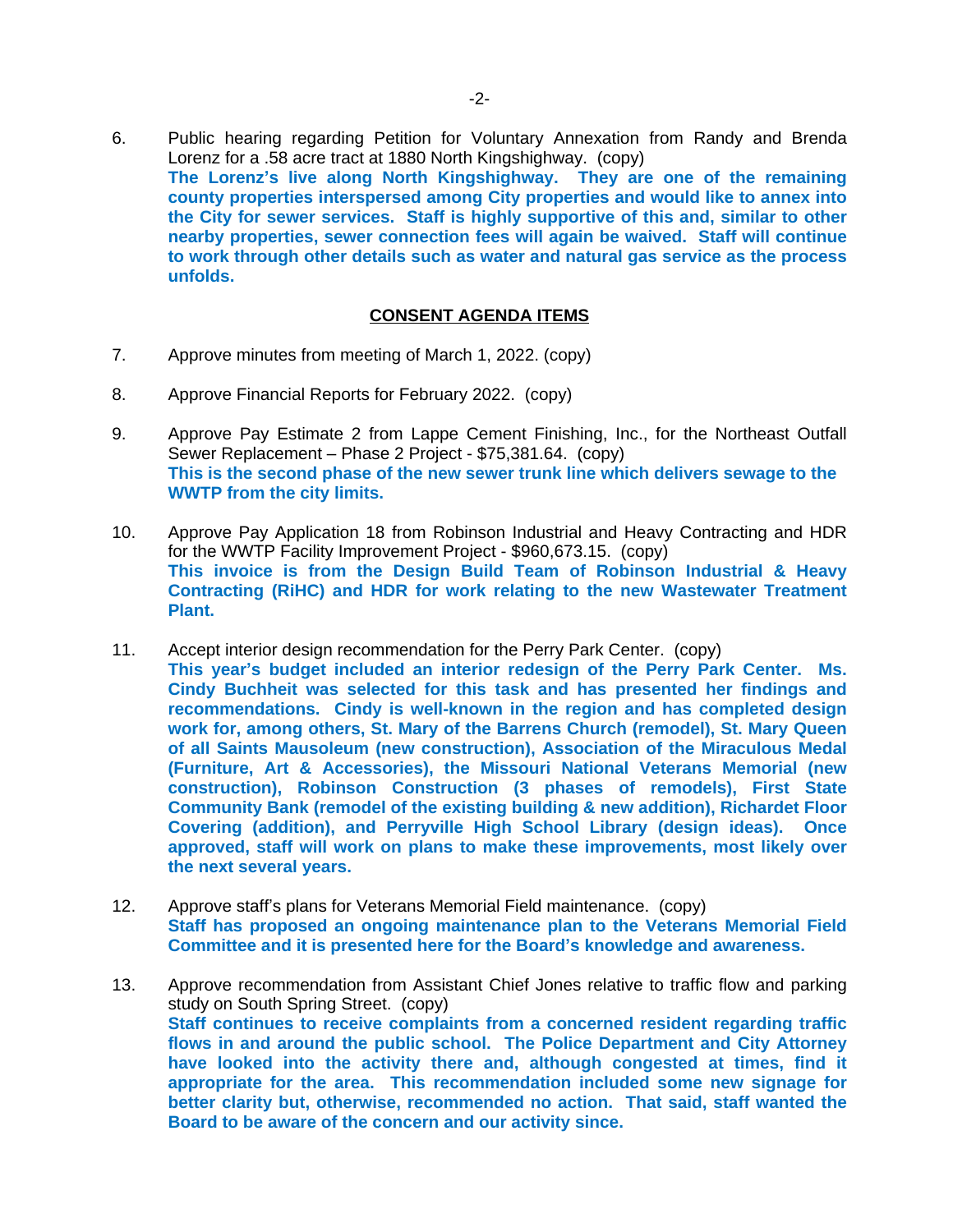6. Public hearing regarding Petition for Voluntary Annexation from Randy and Brenda Lorenz for a .58 acre tract at 1880 North Kingshighway. (copy) **The Lorenz's live along North Kingshighway. They are one of the remaining county properties interspersed among City properties and would like to annex into the City for sewer services. Staff is highly supportive of this and, similar to other nearby properties, sewer connection fees will again be waived. Staff will continue to work through other details such as water and natural gas service as the process unfolds.** 

### **CONSENT AGENDA ITEMS**

- 7. Approve minutes from meeting of March 1, 2022. (copy)
- 8. Approve Financial Reports for February 2022. (copy)
- 9. Approve Pay Estimate 2 from Lappe Cement Finishing, Inc., for the Northeast Outfall Sewer Replacement – Phase 2 Project - \$75,381.64. (copy) **This is the second phase of the new sewer trunk line which delivers sewage to the WWTP from the city limits.**
- 10. Approve Pay Application 18 from Robinson Industrial and Heavy Contracting and HDR for the WWTP Facility Improvement Project - \$960,673.15. (copy) **This invoice is from the Design Build Team of Robinson Industrial & Heavy Contracting (RiHC) and HDR for work relating to the new Wastewater Treatment Plant.**
- 11. Accept interior design recommendation for the Perry Park Center. (copy) **This year's budget included an interior redesign of the Perry Park Center. Ms. Cindy Buchheit was selected for this task and has presented her findings and recommendations. Cindy is well-known in the region and has completed design work for, among others, St. Mary of the Barrens Church (remodel), St. Mary Queen of all Saints Mausoleum (new construction), Association of the Miraculous Medal (Furniture, Art & Accessories), the Missouri National Veterans Memorial (new construction), Robinson Construction (3 phases of remodels), First State Community Bank (remodel of the existing building & new addition), Richardet Floor Covering (addition), and Perryville High School Library (design ideas). Once approved, staff will work on plans to make these improvements, most likely over the next several years.**
- 12. Approve staff's plans for Veterans Memorial Field maintenance. (copy) **Staff has proposed an ongoing maintenance plan to the Veterans Memorial Field Committee and it is presented here for the Board's knowledge and awareness.**
- 13. Approve recommendation from Assistant Chief Jones relative to traffic flow and parking study on South Spring Street. (copy) **Staff continues to receive complaints from a concerned resident regarding traffic flows in and around the public school. The Police Department and City Attorney have looked into the activity there and, although congested at times, find it appropriate for the area. This recommendation included some new signage for better clarity but, otherwise, recommended no action. That said, staff wanted the Board to be aware of the concern and our activity since.**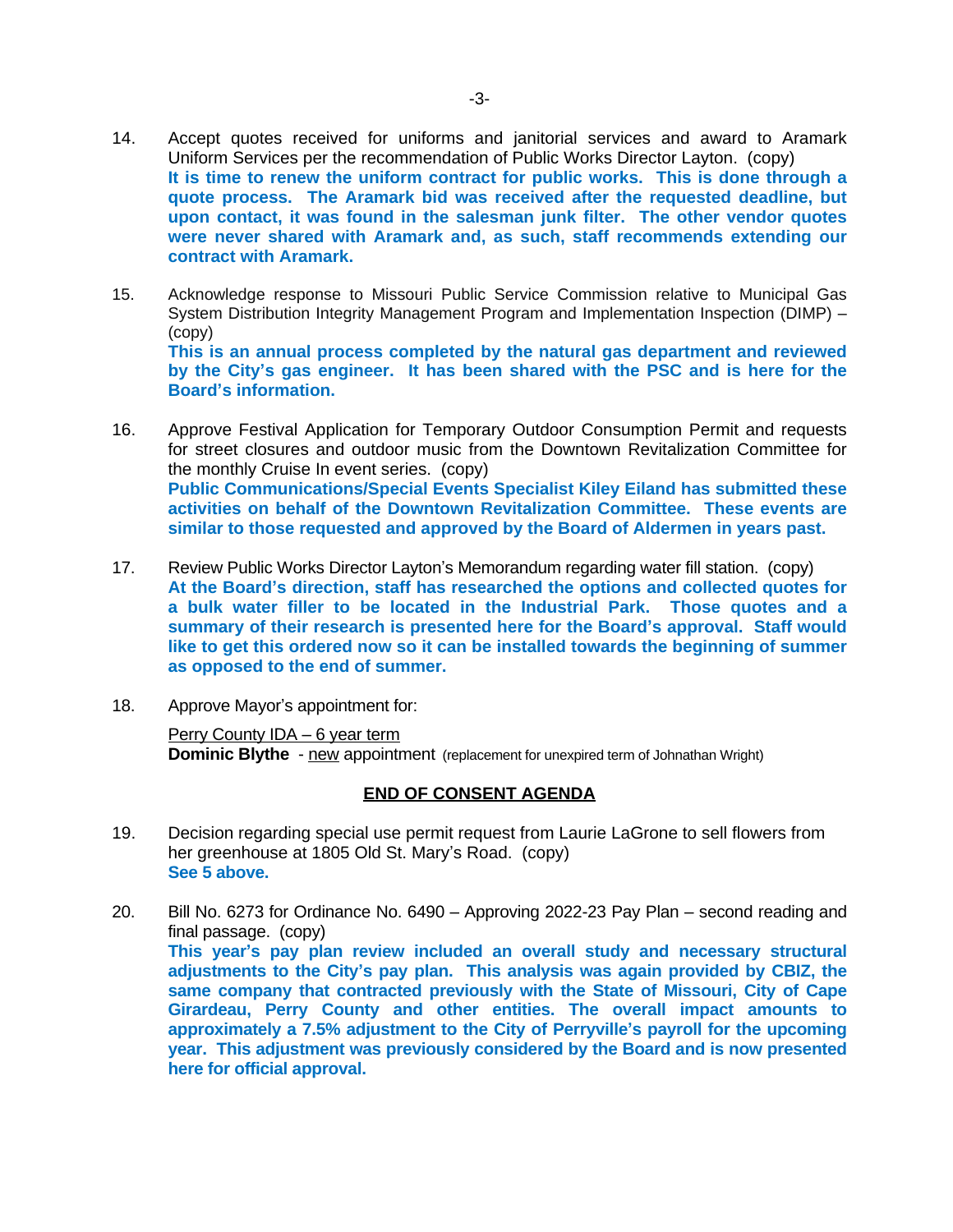- 14. Accept quotes received for uniforms and janitorial services and award to Aramark Uniform Services per the recommendation of Public Works Director Layton. (copy) **It is time to renew the uniform contract for public works. This is done through a quote process. The Aramark bid was received after the requested deadline, but upon contact, it was found in the salesman junk filter. The other vendor quotes were never shared with Aramark and, as such, staff recommends extending our contract with Aramark.**
- 15. Acknowledge response to Missouri Public Service Commission relative to Municipal Gas System Distribution Integrity Management Program and Implementation Inspection (DIMP) – (copy) **This is an annual process completed by the natural gas department and reviewed by the City's gas engineer. It has been shared with the PSC and is here for the Board's information.**
- 16. Approve Festival Application for Temporary Outdoor Consumption Permit and requests for street closures and outdoor music from the Downtown Revitalization Committee for the monthly Cruise In event series. (copy) **Public Communications/Special Events Specialist Kiley Eiland has submitted these activities on behalf of the Downtown Revitalization Committee. These events are similar to those requested and approved by the Board of Aldermen in years past.**
- 17. Review Public Works Director Layton's Memorandum regarding water fill station. (copy) **At the Board's direction, staff has researched the options and collected quotes for a bulk water filler to be located in the Industrial Park. Those quotes and a summary of their research is presented here for the Board's approval. Staff would like to get this ordered now so it can be installed towards the beginning of summer as opposed to the end of summer.**
- 18. Approve Mayor's appointment for:

Perry County IDA – 6 year term **Dominic Blythe** - new appointment (replacement for unexpired term of Johnathan Wright)

#### **END OF CONSENT AGENDA**

- 19. Decision regarding special use permit request from Laurie LaGrone to sell flowers from her greenhouse at 1805 Old St. Mary's Road. (copy) **See 5 above.**
- 20. Bill No. 6273 for Ordinance No. 6490 Approving 2022-23 Pay Plan second reading and final passage. (copy) **This year's pay plan review included an overall study and necessary structural adjustments to the City's pay plan. This analysis was again provided by CBIZ, the same company that contracted previously with the State of Missouri, City of Cape Girardeau, Perry County and other entities. The overall impact amounts to approximately a 7.5% adjustment to the City of Perryville's payroll for the upcoming year. This adjustment was previously considered by the Board and is now presented here for official approval.**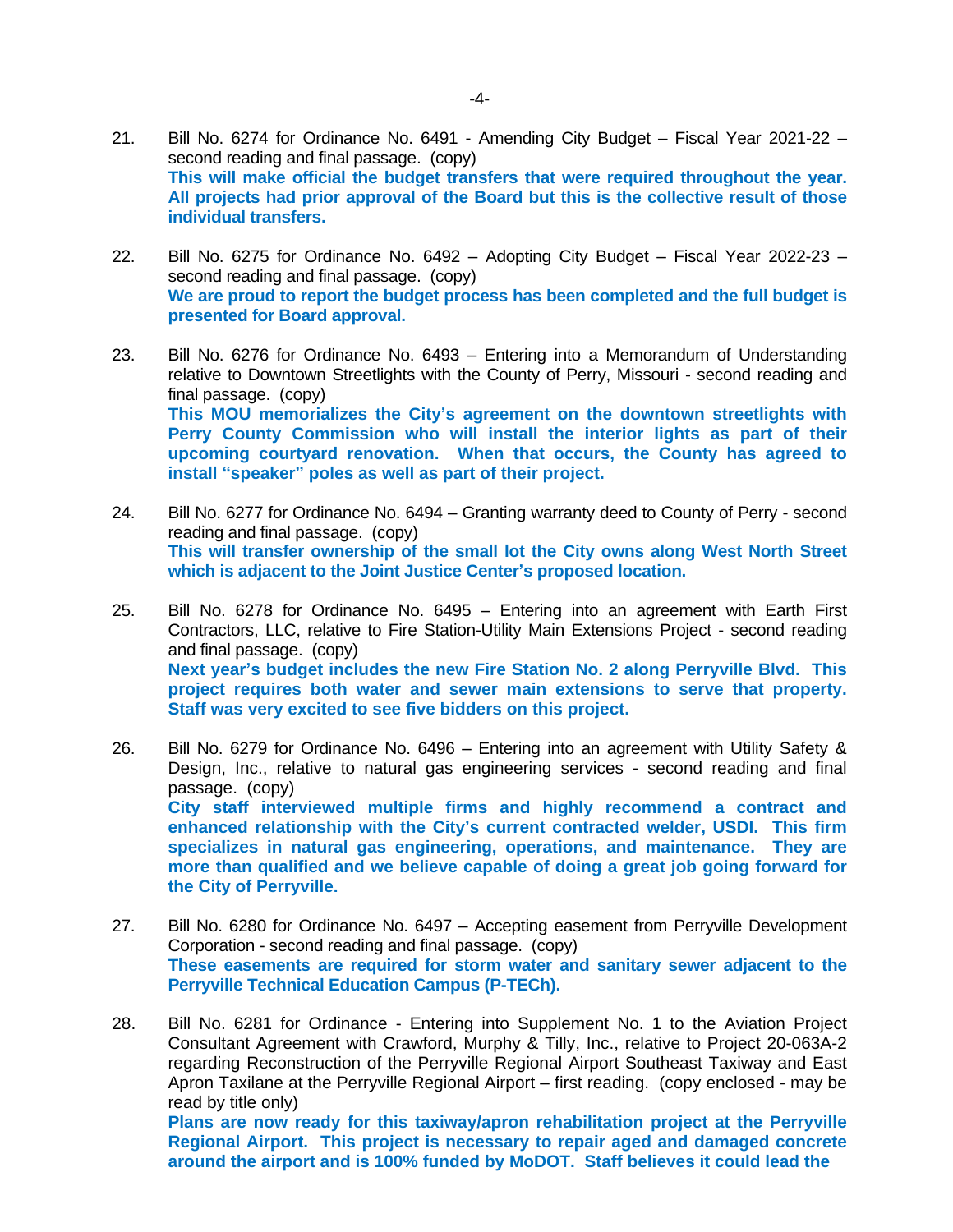- 21. Bill No. 6274 for Ordinance No. 6491 Amending City Budget Fiscal Year 2021-22 second reading and final passage. (copy) **This will make official the budget transfers that were required throughout the year. All projects had prior approval of the Board but this is the collective result of those individual transfers.**
- 22. Bill No. 6275 for Ordinance No. 6492 Adopting City Budget Fiscal Year 2022-23 second reading and final passage. (copy) **We are proud to report the budget process has been completed and the full budget is presented for Board approval.**
- 23. Bill No. 6276 for Ordinance No. 6493 Entering into a Memorandum of Understanding relative to Downtown Streetlights with the County of Perry, Missouri - second reading and final passage. (copy) **This MOU memorializes the City's agreement on the downtown streetlights with Perry County Commission who will install the interior lights as part of their upcoming courtyard renovation. When that occurs, the County has agreed to install "speaker" poles as well as part of their project.**
- 24. Bill No. 6277 for Ordinance No. 6494 Granting warranty deed to County of Perry second reading and final passage. (copy) **This will transfer ownership of the small lot the City owns along West North Street which is adjacent to the Joint Justice Center's proposed location.**
- 25. Bill No. 6278 for Ordinance No. 6495 Entering into an agreement with Earth First Contractors, LLC, relative to Fire Station-Utility Main Extensions Project - second reading and final passage. (copy) **Next year's budget includes the new Fire Station No. 2 along Perryville Blvd. This project requires both water and sewer main extensions to serve that property. Staff was very excited to see five bidders on this project.**
- 26. Bill No. 6279 for Ordinance No. 6496 Entering into an agreement with Utility Safety & Design, Inc., relative to natural gas engineering services - second reading and final passage. (copy) **City staff interviewed multiple firms and highly recommend a contract and enhanced relationship with the City's current contracted welder, USDI. This firm specializes in natural gas engineering, operations, and maintenance. They are more than qualified and we believe capable of doing a great job going forward for the City of Perryville.**
- 27. Bill No. 6280 for Ordinance No. 6497 Accepting easement from Perryville Development Corporation - second reading and final passage. (copy) **These easements are required for storm water and sanitary sewer adjacent to the Perryville Technical Education Campus (P-TECh).**
- 28. Bill No. 6281 for Ordinance Entering into Supplement No. 1 to the Aviation Project Consultant Agreement with Crawford, Murphy & Tilly, Inc., relative to Project 20-063A-2 regarding Reconstruction of the Perryville Regional Airport Southeast Taxiway and East Apron Taxilane at the Perryville Regional Airport – first reading. (copy enclosed - may be read by title only) **Plans are now ready for this taxiway/apron rehabilitation project at the Perryville Regional Airport. This project is necessary to repair aged and damaged concrete around the airport and is 100% funded by MoDOT. Staff believes it could lead the**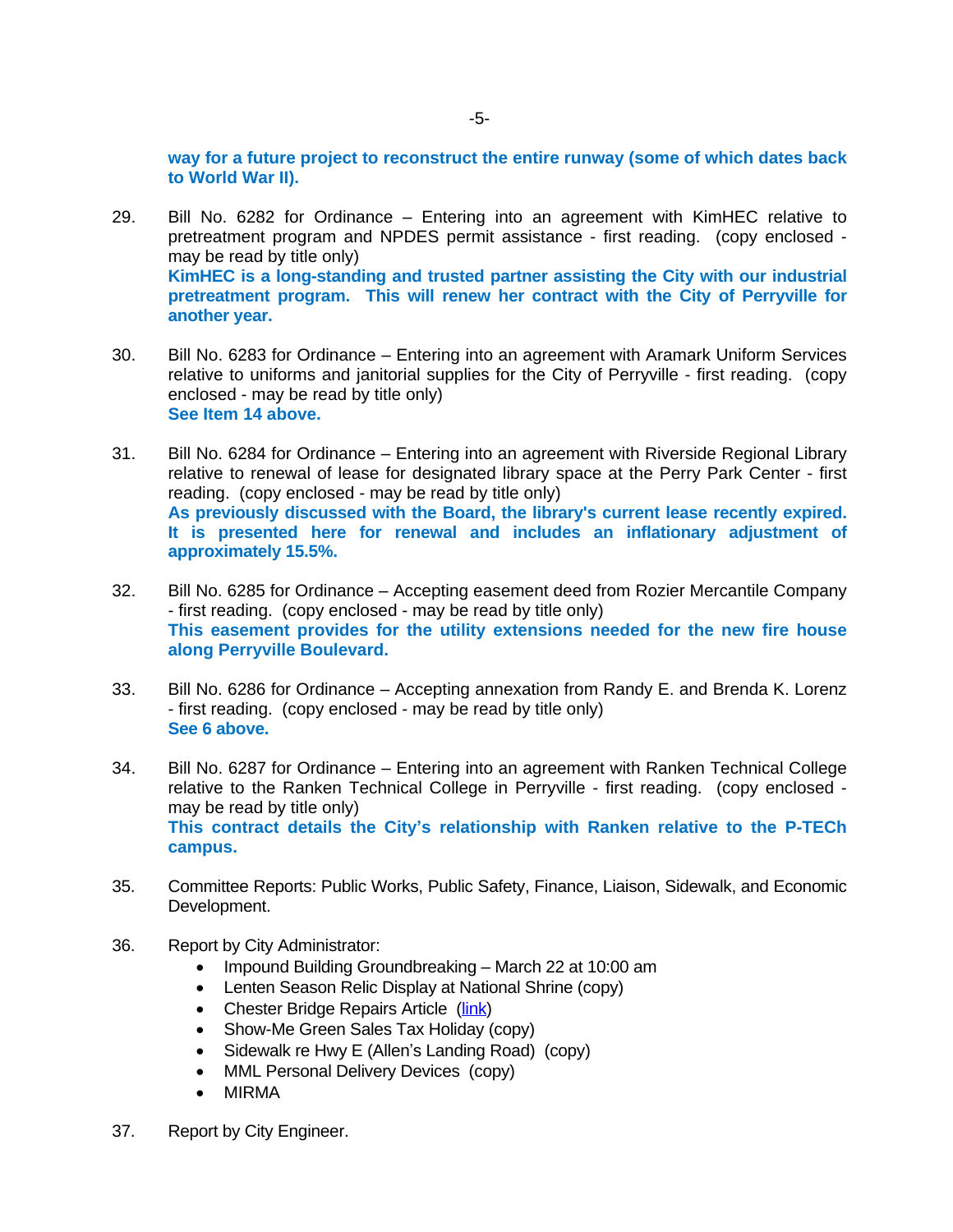**way for a future project to reconstruct the entire runway (some of which dates back to World War II).** 

- 29. Bill No. 6282 for Ordinance Entering into an agreement with KimHEC relative to pretreatment program and NPDES permit assistance - first reading. (copy enclosed may be read by title only) **KimHEC is a long-standing and trusted partner assisting the City with our industrial pretreatment program. This will renew her contract with the City of Perryville for another year.**
- 30. Bill No. 6283 for Ordinance Entering into an agreement with Aramark Uniform Services relative to uniforms and janitorial supplies for the City of Perryville - first reading. (copy enclosed - may be read by title only) **See Item 14 above.**
- 31. Bill No. 6284 for Ordinance Entering into an agreement with Riverside Regional Library relative to renewal of lease for designated library space at the Perry Park Center - first reading. (copy enclosed - may be read by title only) **As previously discussed with the Board, the library's current lease recently expired. It is presented here for renewal and includes an inflationary adjustment of approximately 15.5%.**
- 32. Bill No. 6285 for Ordinance Accepting easement deed from Rozier Mercantile Company - first reading. (copy enclosed - may be read by title only) **This easement provides for the utility extensions needed for the new fire house along Perryville Boulevard.**
- 33. Bill No. 6286 for Ordinance Accepting annexation from Randy E. and Brenda K. Lorenz - first reading. (copy enclosed - may be read by title only) **See 6 above.**
- 34. Bill No. 6287 for Ordinance Entering into an agreement with Ranken Technical College relative to the Ranken Technical College in Perryville - first reading. (copy enclosed may be read by title only) **This contract details the City's relationship with Ranken relative to the P-TECh campus.**
- 35. Committee Reports: Public Works, Public Safety, Finance, Liaison, Sidewalk, and Economic Development.
- 36. Report by City Administrator:
	- Impound Building Groundbreaking March 22 at 10:00 am
	- Lenten Season Relic Display at National Shrine (copy)
	- Chester Bridge Repairs Article ([link\)](https://www.republicmonitor.com/stories/chester-bridge-repairs-set-for-this-summer,14681)
	- Show-Me Green Sales Tax Holiday (copy)
	- Sidewalk re Hwy E (Allen's Landing Road) (copy)
	- MML Personal Delivery Devices (copy)
	- MIRMA
- 37. Report by City Engineer.